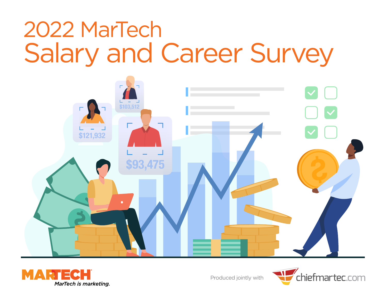



Produced jointly with

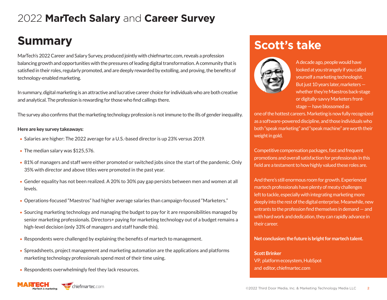# **Summary**

MarTech's 2022 Career and Salary Survey, produced jointly with chiefmartec.com, reveals a profession balancing growth and opportunities with the pressures of leading digital transformation. A community that is satisfied in their roles, regularly promoted, and are deeply rewarded by extolling, and proving, the benefits of technology-enabled marketing.

In summary, digital marketing is an attractive and lucrative career choice for individuals who are both creative and analytical. The profession is rewarding for those who find callings there.

The survey also confirms that the marketing technology profession is not immune to the ills of gender inequality.

#### **Here are key survey takeaways:**

- Salaries are higher: The 2022 average for a U.S.-based director is up 23% versus 2019.
- The median salary was \$125,576.
- 81% of managers and staff were either promoted or switched jobs since the start of the pandemic. Only 35% with director and above titles were promoted in the past year.
- Gender equality has not been realized. A 20% to 30% pay gap persists between men and women at all levels.
- Operations-focused "Maestros" had higher average salaries than campaign-focused "Marketers."
- Sourcing marketing technology and managing the budget to pay for it are responsibilities managed by senior marketing professionals. Directors+ paying for marketing technology out of a budget remains a high-level decision (only 33% of managers and staff handle this).
- Respondents were challenged by explaining the benefits of martech to management.
- Spreadsheets, project management and marketing automation are the applications and platforms marketing technology professionals spend most of their time using.
- Respondents overwhelmingly feel they lack resources.

# **Scott's take**



A decade ago, people would have looked at you strangely if you called yourself a marketing technologist. But just 10 years later, marketers whether they're Maestros back-stage or digitally-savvy Marketers frontstage — have blossomed as

one of the hottest careers. Marketing is now fully recognized as a software-powered discipline, and those individuals who both "speak marketing" and "speak machine" are worth their weight in gold.

Competitive compensation packages, fast and frequent promotions and overall satisfaction for professionals in this field are a testament to how highly valued these roles are.

And there's still enormous room for growth. Experienced martech professionals have plenty of meaty challenges left to tackle, especially with integrating marketing more deeply into the rest of the digital enterprise. Meanwhile, new entrants to the profession find themselves in demand — and with hard work and dedication, they can rapidly advance in their career.

#### **Net conclusion: the future is bright for martech talent.**

#### **Scott Brinker** VP, platform ecosystem, HubSpot and editor, chiefmartec.com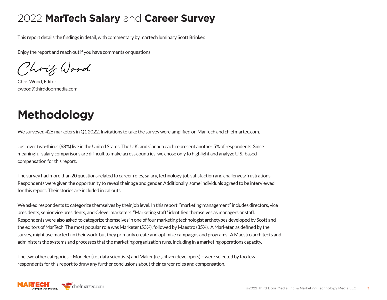This report details the findings in detail, with commentary by martech luminary Scott Brinker.

Enjoy the report and reach out if you have comments or questions,

Chrif Wood

Chris Wood, Editor cwood@thirddoormedia.com

# **Methodology**

We surveyed 426 marketers in Q1 2022. Invitations to take the survey were amplified on MarTech and chiefmartec.com.

Just over two-thirds (68%) live in the United States. The U.K. and Canada each represent another 5% of respondents. Since meaningful salary comparisons are difficult to make across countries, we chose only to highlight and analyze U.S.-based compensation for this report.

The survey had more than 20 questions related to career roles, salary, technology, job satisfaction and challenges/frustrations. Respondents were given the opportunity to reveal their age and gender. Additionally, some individuals agreed to be interviewed for this report. Their stories are included in callouts.

We asked respondents to categorize themselves by their job level. In this report, "marketing management" includes directors, vice presidents, senior vice presidents, and C-level marketers. "Marketing staff" identified themselves as managers or staff. Respondents were also asked to categorize themselves in one of four marketing technologist archetypes developed by Scott and the editors of MarTech. The most popular role was Marketer (53%), followed by Maestro (35%). A Marketer, as defined by the survey, might use martech in their work, but they primarily create and optimize campaigns and programs. A Maestro architects and administers the systems and processes that the marketing organization runs, including in a marketing operations capacity.

The two other categories – Modeler (i.e., data scientists) and Maker (i.e., citizen developers) – were selected by too few respondents for this report to draw any further conclusions about their career roles and compensation.

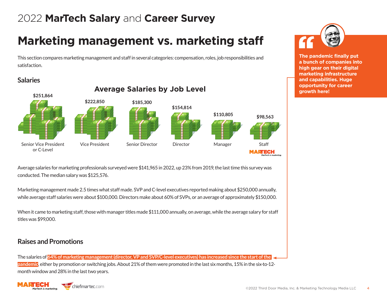# **Marketing management vs. marketing staff**

This section compares marketing management and staff in several categories: compensation, roles, job responsibilities and satisfaction.

### **Salaries**



Average salaries for marketing professionals surveyed were \$141,965 in 2022, up 23% from 2019, the last time this survey was conducted. The median salary was \$125,576.

Marketing management made 2.5 times what staff made. SVP and C-level executives reported making about \$250,000 annually, while average staff salaries were about \$100,000. Directors make about 60% of SVPs, or an average of approximately \$150,000.

When it came to marketing staff, those with manager titles made \$111,000 annually, on average, while the average salary for staff titles was \$99,000.

### **Raises and Promotions**

The salaries of **64% of marketing management (director, VP and SVP/C-level executives) has increased since the start of the pandemic**, either by promotion or switching jobs. About 21% of them were promoted in the last six months, 15% in the six-to-12 month window and 28% in the last two years.





**The pandemic finally put a bunch of companies into high gear on their digital marketing infrastructure and capabilities. Huge**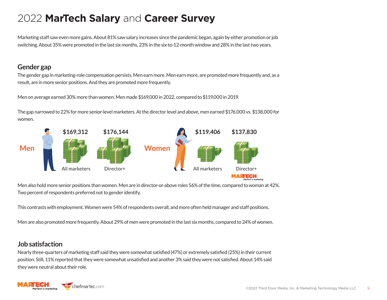Marketing staff saw even more gains. About 81% saw salary increases since the pandemic began, again by either promotion or job switching. About 35% were promoted in the last six months, 23% in the six-to-12-month window and 28% in the last two years.

### **Gender gap**

The gender gap in marketing-role compensation persists. Men earn more. Men earn more, are promoted more frequently and, as a result, are in more senior positions. And they are promoted more frequently.

Men on average earned 30% more than women. Men made \$169,000 in 2022, compared to \$119,000 in 2019.

The gap narrowed to 22% for more senior-level marketers. At the director level and above, men earned \$176,000 vs. \$138,000 for women.



Men also hold more senior positions than women. Men are in director-or-above roles 56% of the time, compared to woman at 42%. Two percent of respondents preferred not to gender identify.

This contrasts with employment. Women were 54% of respondents overall, and more often held manager and staff positions.

Men are also promoted more frequently. About 29% of men were promoted in the last six months, compared to 24% of women.

### **Job satisfaction**

Nearly three-quarters of marketing staff said they were somewhat satisfied (47%) or extremely satisfied (25%) in their current position. Still, 11% reported that they were somewhat unsatisfied and another 3% said they were not satisfied. About 14% said they were neutral about their role.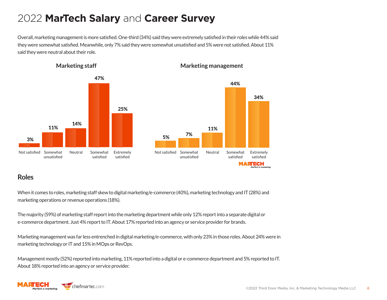Overall, marketing management is more satisfied. One-third (34%) said they were extremely satisfied in their roles while 44% said they were somewhat satisfied. Meanwhile, only 7% said they were somewhat unsatisfied and 5% were not satisfied. About 11% said they were neutral about their role.



**Marketing staff**

#### **Marketing management**

#### **44% 34%11% 5% 7%** Neutral Somewhat Extremely Mot satisfied Somewhat Neutral Somewhat Extremely unsatisfied satisfied satisfied MARTECH MarTech is marke

### **Roles**

When it comes to roles, marketing staff skew to digital marketing/e-commerce (40%), marketing technology and IT (28%) and marketing operations or revenue operations (18%).

The majority (59%) of marketing staff report into the marketing department while only 12% report into a separate digital or e-commerce department. Just 4% report to IT. About 17% reported into an agency or service provider for brands.

Marketing management was far less entrenched in digital marketing/e-commerce, with only 23% in those roles. About 24% were in marketing technology or IT and 15% in MOps or RevOps.

Management mostly (52%) reported into marketing, 11% reported into a digital or e-commerce department and 5% reported to IT. About 18% reported into an agency or service provider.

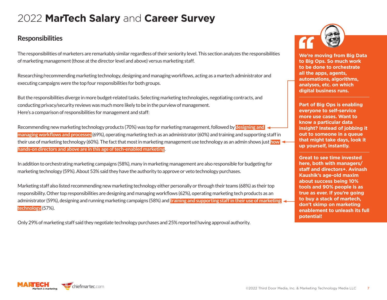### **Responsibilities**

The responsibilities of marketers are remarkably similar regardless of their seniority level. This section analyzes the responsibilities of marketing management (those at the director level and above) versus marketing staff.

Researching/recommending marketing technology, designing and managing workflows, acting as a martech administrator and executing campaigns were the top four responsibilities for both groups.

But the responsibilities diverge in more budget-related tasks. Selecting marketing technologies, negotiating contracts, and conducting privacy/security reviews was much more likely to be in the purview of management. Here's a comparison of responsibilities for management and staff:

Recommending new marketing technology products (70%) was top for marketing management, followed by **designing and managing workflows and processes** (69%), operating marketing tech as an administrator (60%) and training and supporting staff in their use of marketing technology (60%). The fact that most in marketing management use technology as an admin shows just **how hands-on directors and above are in this age of tech-enabled marketing**.

In addition to orchestrating marketing campaigns (58%), many in marketing management are also responsible for budgeting for marketing technology (59%). About 53% said they have the authority to approve or veto technology purchases.

Marketing staff also listed recommending new marketing technology either personally or through their teams (68%) as their top responsibility. Other top responsibilities are designing and managing workflows (62%), operating marketing tech products as an administrator (59%), designing and running marketing campaigns (58%) and **training and supporting staff in their use of marketing technology** (57%).

Only 29% of marketing staff said they negotiate technology purchases and 25% reported having approval authority.



**We're moving from Big Data to Big Ops. So much work to be done to orchestrate all the apps, agents, automations, algorithms, analyses, etc. on which digital business runs.**

**Part of Big Ops is enabling everyone to self-service more use cases. Want to know a particular data insight? Instead of jobbing it out to someone in a queue that might take days, look it up yourself, instantly.**

**Great to see time invested here, both with managers/ staff and directors+. Avinash Kaushik's age-old maxim about success being 10% tools and 90% people is as true as ever. If you're going to buy a stack of martech, don't skimp on marketing enablement to unleash its full potential!**

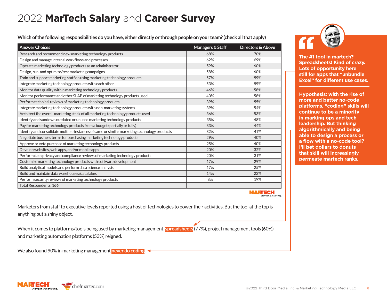**Which of the following responsibilities do you have, either directly or through people on your team? (check all that apply)** 

| <b>Answer Choices</b>                                                                        | Managers & Staff | Directors & Above |
|----------------------------------------------------------------------------------------------|------------------|-------------------|
| Research and recommend new marketing technology products                                     | 68%              | 70%               |
| Design and manage internal workflows and processes                                           | 62%              | 69%               |
| Operate marketing technology products as an administrator                                    | 59%              | 60%               |
| Design, run, and optimize/test marketing campaigns                                           | 58%              | 60%               |
| Train and support marketing staff on using marketing technology products                     | 57%              | 59%               |
| Integrate marketing technology products with each other                                      | 53%              | 59%               |
| Monitor data quality within marketing technology products                                    | 46%              | 58%               |
| Monitor performance and other SLAB of marketing technology products used                     | 40%              | 58%               |
| Perform technical reviews of marketing technology products                                   | 39%              | 55%               |
| Integrate marketing technology products with non-marketing systems                           | 39%              | 54%               |
| Architect the overall marketing stack of all marketing technology products used              | 36%              | 53%               |
| Identify and sundown outdated or unused marketing technology products                        | 35%              | 48%               |
| Pay for marketing technology products from a budget (partially or fully)                     | 33%              | 44%               |
| Identify and consolidate multiple instances of same or similar marketing technology products | 32%              | 41%               |
| Negotiate business terms for purchasing marketing technology products                        | 29%              | 40%               |
| Approve or veto purchase of marketing technology products                                    | 25%              | 40%               |
| Develop websites, web apps, and/or mobile apps                                               | 20%              | 32%               |
| Perform data privacy and compliance reviews of marketing technology products                 | 20%              | 31%               |
| Customize marketing technology products with software development                            | 17%              | 29%               |
| Build analytical models and perform data science analysis                                    | 17%              | 25%               |
| Build and maintain data warehouses/data lakes                                                | 14%              | 22%               |
| Perform security reviews of marketing technology products                                    | 8%               | 19%               |
| Total Respondents. 166                                                                       |                  |                   |

**The #1 tool in martech? Spreadsheets! Kind of crazy. Lots of opportunity here still for apps that "unbundle Excel" for different use cases.**

**Hypothesis: with the rise of more and better no-code platforms, "coding" skills will continue to be a minority in marking ops and tech leadership. But thinking algorithmically and being able to design a process or a flow with a no-code tool? I'll bet dollars to donuts that skill will increasingly permeate martech ranks.**

ARTECH

Marketers from staff to executive levels reported using a host of technologies to power their activities. But the tool at the top is anything but a shiny object.

When it comes to platforms/tools being used by marketing management, **spreadsheets** (77%), project management tools (60%) and marketing automation platforms (53%) reigned.

We also found 90% in marketing management **never do coding**.

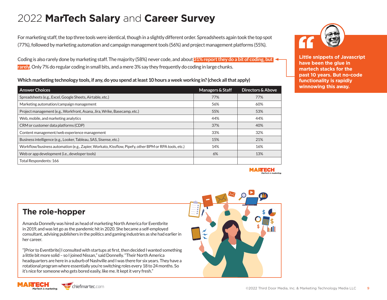For marketing staff, the top three tools were identical, though in a slightly different order. Spreadsheets again took the top spot (77%), followed by marketing automation and campaign management tools (56%) and project management platforms (55%).

Coding is also rarely done by marketing staff. The majority (58%) never code, and about **31% report they do a bit of coding, but rarely**. Only 7% do regular coding in small bits, and a mere 3% say they frequently do coding in large chunks.

**Which marketing technology tools, if any, do you spend at least 10 hours a week working in? (check all that apply)** 

| <b>Answer Choices</b>                                                                                | Managers & Staff | Directors & Above |
|------------------------------------------------------------------------------------------------------|------------------|-------------------|
| Spreadsheets (e.g., Excel, Google Sheets, Airtable, etc.)                                            | 77%              | 77%               |
| Marketing automation/campaign management                                                             | 56%              | 60%               |
| Project management (e.g., Workfront, Asana, Jira, Wrike, Basecamp, etc.)                             | 55%              | 53%               |
| Web, mobile, and marketing analytics                                                                 | 44%              | 44%               |
| CRM or customer data platforms (CDP)                                                                 | 37%              | 40%               |
| Content management/web experience management                                                         | 33%              | 32%               |
| Business intelligence (e.g., Looker, Tableau, SAS, Sisense, etc.)                                    | 15%              | 21%               |
| Workflow/business automation (e.g., Zapier, Workato, Kissflow, Pipefy, other BPM or RPA tools, etc.) | 14%              | 16%               |
| Web or app development (i.e., developer tools)                                                       | 6%               | 13%               |
| Total Respondents: 166                                                                               |                  |                   |



**Little snippets of Javascript have been the glue in martech stacks for the past 10 years. But no-code functionality is rapidly winnowing this away.**



### **The role-hopper**

Amanda Donnelly was hired as head of marketing North America for Eventbrite in 2019, and was let go as the pandemic hit in 2020. She became a self-employed consultant, advising publishers in the politics and gaming industries as she had earlier in her career.

"[Prior to Eventbrite] I consulted with startups at first, then decided I wanted something a little bit more solid – so I joined Nissan," said Donnelly. "Their North America headquarters are here in a suburb of Nashville and I was there for six years. They have a rotational program where essentially you're switching roles every 18 to 24 months. So it's nice for someone who gets bored easily, like me. It kept it very fresh."

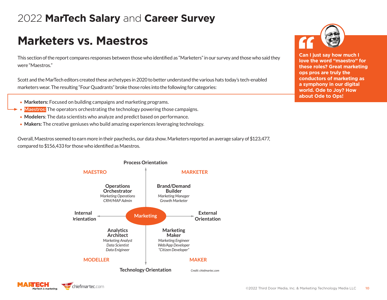# **Marketers vs. Maestros**

This section of the report compares responses between those who identified as "Marketers" in our survey and those who said they were "Maestros."

Scott and the MarTech editors created these archetypes in 2020 to better understand the various hats today's tech-enabled marketers wear. The resulting "Four Quadrants" broke those roles into the following for categories:

- **Marketers:** Focused on building campaigns and marketing programs.
- **Maestros:** The operators orchestrating the technology powering those campaigns.
- **Modelers**: The data scientists who analyze and predict based on performance.
- **Makers:** The creative geniuses who build amazing experiences leveraging technology.

Overall, Maestros seemed to earn more in their paychecks, our data show. Marketers reported an average salary of \$123,477, compared to \$156,433 for those who identified as Maestros.



#### **Process Orientation**





**Can I just say how much I love the word "maestro" for these roles? Great marketing ops pros are truly the conductors of marketing as a symphony in our digital world. Ode to Joy? How about Ode to Ops!**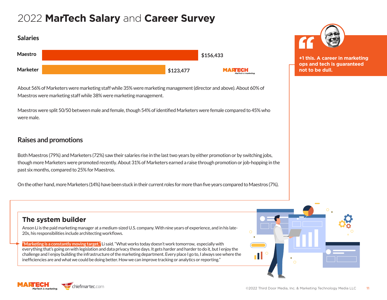| <b>Salaries</b> |                         |                                       |
|-----------------|-------------------------|---------------------------------------|
| Maestro         |                         | \$156,433                             |
| <b>Marketer</b> | $\frac{1}{2}$ \$123,477 | <b>MARTECH</b><br>MarTech is marketir |

About 56% of Marketers were marketing staff while 35% were marketing management (director and above). About 60% of Maestros were marketing staff while 38% were marketing management.

Maestros were split 50/50 between male and female, though 54% of identified Marketers were female compared to 45% who were male.

### **Raises and promotions**

Both Maestros (79%) and Marketers (72%) saw their salaries rise in the last two years by either promotion or by switching jobs, though more Marketers were promoted recently. About 31% of Marketers earned a raise through promotion or job-hopping in the past six months, compared to 25% for Maestros.

On the other hand, more Marketers (14%) have been stuck in their current roles for more than five years compared to Maestros (7%).

### **The system builder**

Anson Li is the paid marketing manager at a medium-sized U.S. company. With nine years of experience, and in his late-20s, his responsibilities include architecting workflows.

**"Marketing is a constantly moving target,"** Li said. "What works today doesn't work tomorrow, especially with everything that's going on with legislation and data privacy these days. It gets harder and harder to do it, but I enjoy the challenge and I enjoy building the infrastructure of the marketing department. Every place I go to, I always see where the inefficiencies are and what we could be doing better. How we can improve tracking or analytics or reporting."





**niefmartec**.com



**+1 this. A career in marketing ops and tech is guaranteed not to be dull.**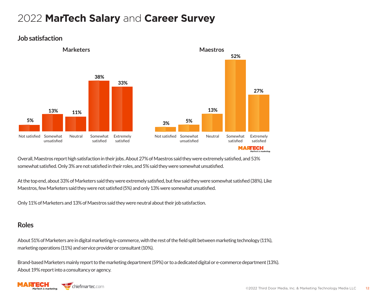

#### **Job satisfaction**

Overall, Maestros report high satisfaction in their jobs. About 27% of Maestros said they were extremely satisfied, and 53% somewhat satisfied. Only 3% are not satisfied in their roles, and 5% said they were somewhat unsatisfied.

At the top end, about 33% of Marketers said they were extremely satisfied, but few said they were somewhat satisfied (38%). Like Maestros, few Marketers said they were not satisfied (5%) and only 13% were somewhat unsatisfied.

Only 11% of Marketers and 13% of Maestros said they were neutral about their job satisfaction.

### **Roles**

About 51% of Marketers are in digital marketing/e-commerce, with the rest of the field split between marketing technology (11%), marketing operations (11%) and service provider or consultant (10%).

Brand-based Marketers mainly report to the marketing department (59%) or to a dedicated digital or e-commerce department (13%). About 19% report into a consultancy or agency.

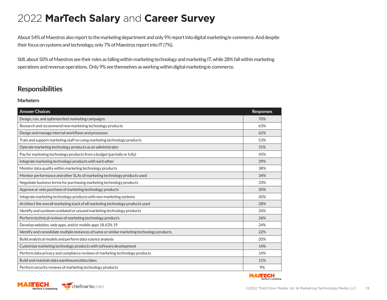About 54% of Maestros also report to the marketing department and only 9% report into digital marketing/e-commerce. And despite their focus on systems and technology, only 7% of Maestros report into IT (7%).

Still, about 50% of Maestros see their roles as falling within marketing technology and marketing IT, while 28% fall within marketing operations and revenue operations. Only 9% see themselves as working within digital marketing/e-commerce.

### **Responsibilities**

#### **Marketers**

| <b>Answer Choices</b>                                                                        | <b>Responses</b> |
|----------------------------------------------------------------------------------------------|------------------|
| Design, run, and optimize/test marketing campaigns                                           | 70%              |
| Research and recommend new marketing technology products                                     | 63%              |
| Design and manage internal workflows and processes                                           | 62%              |
| Train and support marketing staff on using marketing technology products                     | 53%              |
| Operate marketing technology products as an administrator                                    | 51%              |
| Pay for marketing technology products from a budget (partially or fully)                     | 45%              |
| Integrate marketing technology products with each other                                      | 39%              |
| Monitor data quality within marketing technology products                                    | 38%              |
| Monitor performance and other SLAs of marketing technology products used                     | 34%              |
| Negotiate business terms for purchasing marketing technology products                        | 33%              |
| Approve or veto purchase of marketing technology products                                    | 30%              |
| Integrate marketing technology products with non-marketing systems                           | 30%              |
| Architect the overall marketing stack of all marketing technology products used              | 28%              |
| Identify and sundown outdated or unused marketing technology products                        | 26%              |
| Perform technical reviews of marketing technology products                                   | 26%              |
| Develop websites, web apps, and/or mobile apps 18.63% 19                                     | 24%              |
| Identify and consolidate multiple instances of same or similar marketing technology products | 22%              |
| Build analytical models and perform data science analysis                                    | 20%              |
| Customize marketing technology products with software development                            | 14%              |
| Perform data privacy and compliance reviews of marketing technology products                 | 14%              |
| Build and maintain data warehouses/data lakes                                                | 11%              |
| Perform security reviews of marketing technology products                                    | 9%               |



**MARTECH** 

Tech is marketing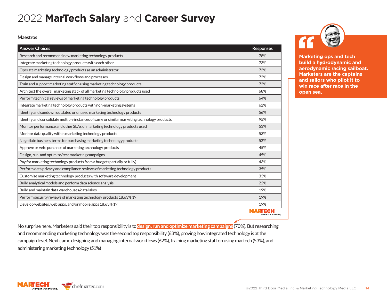#### **Maestros**

| <b>Answer Choices</b>                                                                        | <b>Responses</b>                 |
|----------------------------------------------------------------------------------------------|----------------------------------|
| Research and recommend new marketing technology products                                     | 78%                              |
| Integrate marketing technology products with each other                                      | 73%                              |
| Operate marketing technology products as an administrator                                    | 73%                              |
| Design and manage internal workflows and processes                                           | 72%                              |
| Train and support marketing staff on using marketing technology products                     | 72%                              |
| Architect the overall marketing stack of all marketing technology products used              | 68%                              |
| Perform technical reviews of marketing technology products                                   | 64%                              |
| Integrate marketing technology products with non-marketing systems                           | 62%                              |
| Identify and sundown outdated or unused marketing technology products                        | 56%                              |
| Identify and consolidate multiple instances of same or similar marketing technology products | 95%                              |
| Monitor performance and other SLAs of marketing technology products used                     | 53%                              |
| Monitor data quality within marketing technology products                                    | 53%                              |
| Negotiate business terms for purchasing marketing technology products                        | 52%                              |
| Approve or veto purchase of marketing technology products                                    | 45%                              |
| Design, run, and optimize/test marketing campaigns                                           | 45%                              |
| Pay for marketing technology products from a budget (partially or fully)                     | 43%                              |
| Perform data privacy and compliance reviews of marketing technology products                 | 35%                              |
| Customize marketing technology products with software development                            | 33%                              |
| Build analytical models and perform data science analysis                                    | 22%                              |
| Build and maintain data warehouses/data lakes                                                | 19%                              |
| Perform security reviews of marketing technology products 18.63% 19                          | 19%                              |
| Develop websites, web apps, and/or mobile apps 18.63% 19                                     | 19%                              |
|                                                                                              | MARTECH<br>MarTech is marketing. |

**Marketing ops and tech build a hydrodynamic and aerodynamic racing sailboat. Marketers are the captains and sailors who pilot it to win race after race in the open sea.**

No surprise here, Marketers said their top responsibility is to **design, run and optimize marketing campaigns** (70%). But researching and recommending marketing technology was the second top responsibility (63%), proving how integrated technology is at the campaign level. Next came designing and managing internal workflows (62%), training marketing staff on using martech (53%), and administering marketing technology (51%)

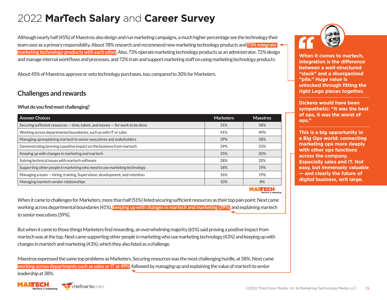Although nearly half (45%) of Maestros also design and run marketing campaigns, a much higher percentage see the technology their team uses as a primary responsibility. About 78% research and recommend new marketing technology products and **73% integrate marketing technology products with each other**. Also, 73% operate marketing technology products as an administrator, 72% design and manage internal workflows and processes, and 72% train and support marketing staff on using marketing technology products.

About 45% of Maestros approve or veto technology purchases, too, compared to 30% for Marketers.

### **Challenges and rewards**

#### **What do you find most challenging?**

| <b>Answer Choices</b>                                                             | <b>Marketers</b> | <b>Maestros</b> |
|-----------------------------------------------------------------------------------|------------------|-----------------|
| Securing sufficient resources $-$ time, talent, and money $-$ for work to be done | 51%              | 58%             |
| Working across departmental boundaries, such as with IT or sales                  | 41%              | 49%             |
| Managing up/explaining martech to senior executives and stakeholders              | 39%              | 38%             |
| Demonstrating/proving a positive impact on the business from martech              | 39%              | 33%             |
| Keeping up with changes in marketing and martech                                  | 35%              | 30%             |
| Solving technical issues with martech software                                    | 28%              | 20%             |
| Supporting other people in marketing who need to use marketing technology         | 18%              | 19%             |
| Managing a team – hiring, training, Supervision, development, and retention       | 16%              | 19%             |
| Managing martech vendor relationships                                             | 10%              | 8%              |

MARTECH

When it came to challenges for Marketers, more than half (51%) listed securing sufficient resources as their top pain point. Next came working across departmental boundaries (41%), **keeping up with changes in martech and marketing (39%)** and explaining martech to senior executives (39%).

But when it came to those things Marketers find rewarding, an overwhelming majority (61%) said proving a positive impact from martech was at the top. Next came supporting other people in marketing who use marketing technology (43%) and keeping up with changes in martech and marketing (43%), which they also listed as a challenge.

Maestros expressed the same top problems as Marketers. Securing resources was the most challenging hurdle, at 58%. Next came **working across departments such as sales or IT at 49%**, followed by managing up and explaining the value of martech to senior

leadership at 38%.







**When it comes to martech, integration is the difference between a well-structured "stack" and a disorganized "pile." Huge value is unlocked through fitting the right Lego pieces together.**

**Dickens would have been sympathetic: "It was the best of ops, it was the worst of ops."**

**This is a big opportunity in a Big Ops world: connecting marketing ops more deeply with other ops functions across the company. Especially sales and IT. Not easy, but immensely valuable — and clearly the future of digital business, writ large.**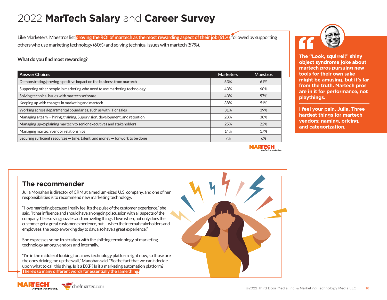Like Marketers, Maestros list **proving the ROI of martech as the most rewarding aspect of their job (61%)**, followed by supporting others who use marketing technology (60%) and solving technical issues with martech (57%).

#### **What do you find most rewarding?**

| <b>Answer Choices</b>                                                             | <b>Marketers</b> | <b>Maestros</b> |
|-----------------------------------------------------------------------------------|------------------|-----------------|
| Demonstrating/proving a positive impact on the business from martech              | 63%              | 61%             |
| Supporting other people in marketing who need to use marketing technology         | 43%              | 60%             |
| Solving technical issues with martech software                                    | 43%              | 57%             |
| Keeping up with changes in marketing and martech                                  | 38%              | 51%             |
| Working across departmental boundaries, such as with IT or sales                  | 31%              | 39%             |
| Managing a team - hiring, training, Supervision, development, and retention       | 28%              | 38%             |
| Managing up/explaining martech to senior executives and stakeholders              | 25%              | 22%             |
| Managing martech vendor relationships                                             | 14%              | 17%             |
| Securing sufficient resources $-$ time, talent, and money $-$ for work to be done | 7%               | 6%              |

**MARTECH** 



**The "Look, squirrel!" shiny object syndrome joke about martech pros pursuing new tools for their own sake might be amusing, but it's far from the truth. Martech pros are in it for performance, not playthings.**

**I feel your pain, Julia. Three hardest things for martech vendors: naming, pricing, and categorization.**

#### **The recommender**

Julia Monahan is director of CRM at a medium-sized U.S. company, and one of her responsibilities is to recommend new marketing technology.

"I love marketing because I really feel it's the pulse of the customer experience," she said. "It has influence and should have an ongoing discussion with all aspects of the company. I like solving puzzles and unraveling things. I love when, not only does the customer get a great customer experience, but … when the internal stakeholders and employees, the people working day to day, also have a great experience."

She expresses some frustration with the shifting terminology of marketing technology among vendors and internally.

"I'm in the middle of looking for a new technology platform right now, so those are the ones driving me up the wall," Manohan said. "So the fact that we can't decide upon what to call this thing. Is it a DXP? Is it a marketing automation platform? **There's so many different words for essentially the same thing.**"



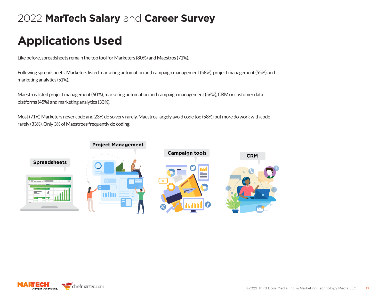# **Applications Used**

Like before, spreadsheets remain the top tool for Marketers (80%) and Maestros (71%).

Following spreadsheets, Marketers listed marketing automation and campaign management (58%), project management (55%) and marketing analytics (51%).

Maestros listed project management (60%), marketing automation and campaign management (56%), CRM or customer data platforms (45%) and marketing analytics (33%).

Most (71%) Marketers never code and 23% do so very rarely. Maestros largely avoid code too (58%) but more do work with code rarely (33%). Only 3% of Maestroes frequently do coding.



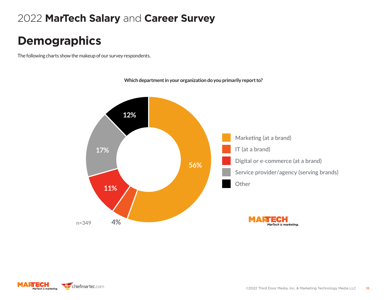### Extremely satisfied **Demographics**

The following charts show the makeup of our survey respondents.



**Which department in your organization do you primarily report to?**

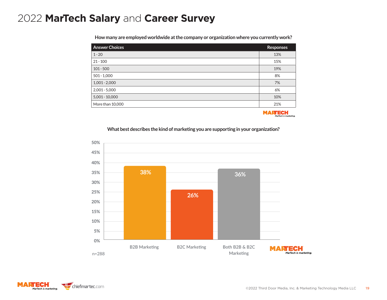**How many are employed worldwide at the company or organization where you currently work?**

| <b>Answer Choices</b> | <b>Responses</b> |
|-----------------------|------------------|
| $1 - 20$              | 13%              |
| $21 - 100$            | 15%              |
| $101 - 500$           | 19%              |
| $501 - 1,000$         | 8%               |
| $1,001 - 2,000$       | 7%               |
| $2,001 - 5,000$       | 6%               |
| $5,001 - 10,000$      | 10%              |
| More than 10,000      | 21%              |

**MARTECH** farTech is marketing

#### **What best describes the kind of marketing you are supporting in your organization?**



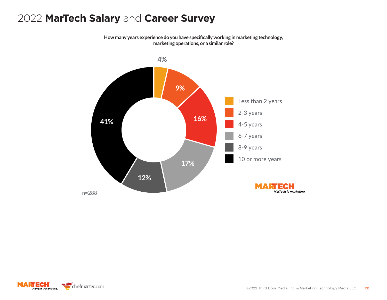#### 2022 **MarTech Salary** and **Career Survey 0%** and **Career Survey** and B2C Marketing B2C Marketing B2C Marketing B2C Marketing B

**How many years experience do you have specifically working in marketing technology, marketing operations, or a similar role?**